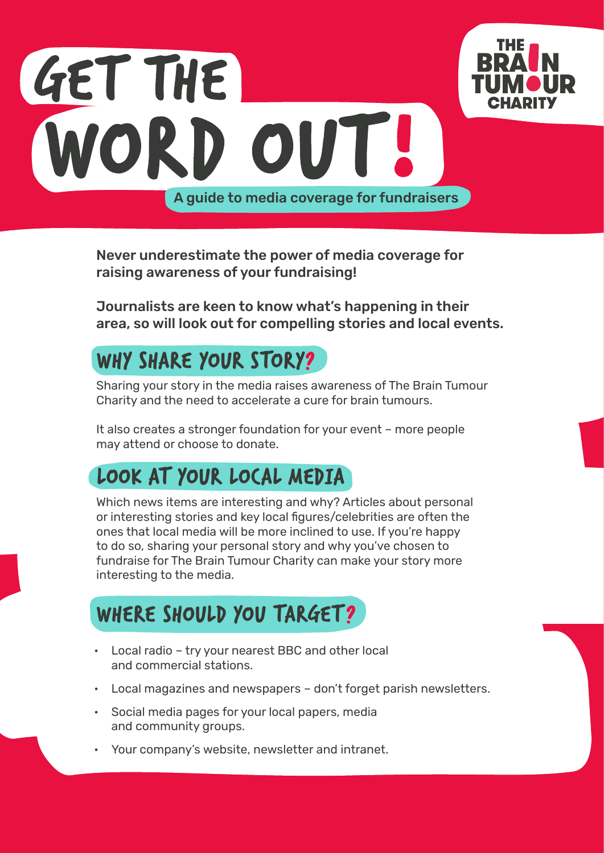



Never underestimate the power of media coverage for raising awareness of your fundraising!

Journalists are keen to know what's happening in their area, so will look out for compelling stories and local events.

## Why share your story?

Sharing your story in the media raises awareness of The Brain Tumour Charity and the need to accelerate a cure for brain tumours.

It also creates a stronger foundation for your event – more people may attend or choose to donate.

# Look at your local media

Which news items are interesting and why? Articles about personal or interesting stories and key local figures/celebrities are often the ones that local media will be more inclined to use. If you're happy to do so, sharing your personal story and why you've chosen to fundraise for The Brain Tumour Charity can make your story more interesting to the media.

### WHERE SHOULD YOU TARGET?

- Local radio try your nearest BBC and other local and commercial stations.
- Local magazines and newspapers don't forget parish newsletters.
- Social media pages for your local papers, media and community groups.
- Your company's website, newsletter and intranet.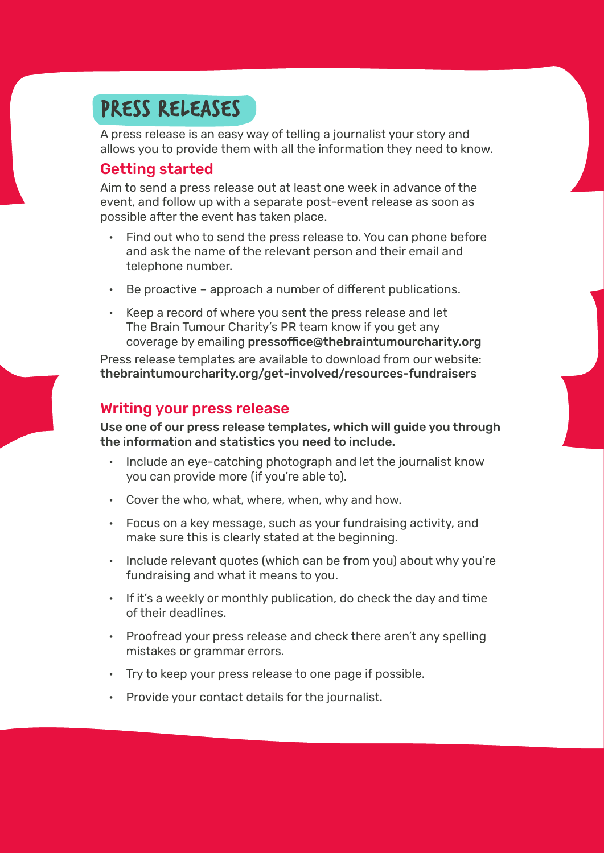### Press releases

A press release is an easy way of telling a journalist your story and allows you to provide them with all the information they need to know.

#### Getting started

Aim to send a press release out at least one week in advance of the event, and follow up with a separate post-event release as soon as possible after the event has taken place.

- Find out who to send the press release to. You can phone before and ask the name of the relevant person and their email and telephone number.
- Be proactive approach a number of different publications.
- Keep a record of where you sent the press release and let The Brain Tumour Charity's PR team know if you get any coverage by emailing pressoffice@thebraintumourcharity.org

Press release templates are available to download from our website: thebraintumourcharity.org/get-involved/resources-fundraisers

#### Writing your press release

Use one of our press release templates, which will guide you through the information and statistics you need to include.

- Include an eye-catching photograph and let the journalist know you can provide more (if you're able to).
- Cover the who, what, where, when, why and how.
- Focus on a key message, such as your fundraising activity, and make sure this is clearly stated at the beginning.
- Include relevant quotes (which can be from you) about why you're fundraising and what it means to you.
- If it's a weekly or monthly publication, do check the day and time of their deadlines.
- Proofread your press release and check there aren't any spelling mistakes or grammar errors.
- Try to keep your press release to one page if possible.
- Provide your contact details for the journalist.